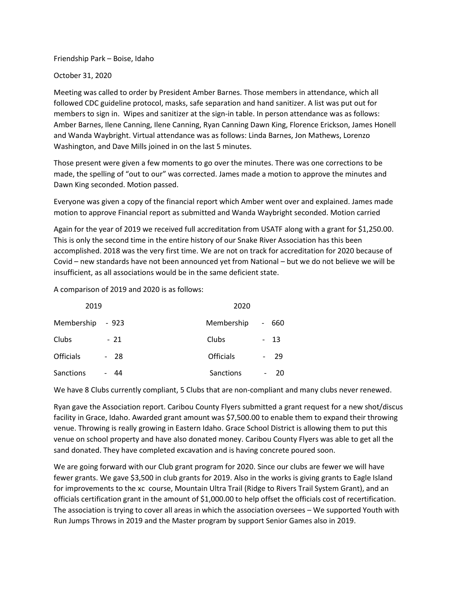Friendship Park – Boise, Idaho

October 31, 2020

Meeting was called to order by President Amber Barnes. Those members in attendance, which all followed CDC guideline protocol, masks, safe separation and hand sanitizer. A list was put out for members to sign in. Wipes and sanitizer at the sign-in table. In person attendance was as follows: Amber Barnes, Ilene Canning, Ilene Canning, Ryan Canning Dawn King, Florence Erickson, James Honell and Wanda Waybright. Virtual attendance was as follows: Linda Barnes, Jon Mathews, Lorenzo Washington, and Dave Mills joined in on the last 5 minutes.

Those present were given a few moments to go over the minutes. There was one corrections to be made, the spelling of "out to our" was corrected. James made a motion to approve the minutes and Dawn King seconded. Motion passed.

Everyone was given a copy of the financial report which Amber went over and explained. James made motion to approve Financial report as submitted and Wanda Waybright seconded. Motion carried

Again for the year of 2019 we received full accreditation from USATF along with a grant for \$1,250.00. This is only the second time in the entire history of our Snake River Association has this been accomplished. 2018 was the very first time. We are not on track for accreditation for 2020 because of Covid – new standards have not been announced yet from National – but we do not believe we will be insufficient, as all associations would be in the same deficient state.

A comparison of 2019 and 2020 is as follows:

| 2019             |       | 2020             |                          |      |
|------------------|-------|------------------|--------------------------|------|
| Membership       | - 923 | Membership       | $\overline{\phantom{0}}$ | 660  |
| Clubs            | $-21$ | Clubs            |                          | - 13 |
| <b>Officials</b> | $-28$ | <b>Officials</b> |                          | -29  |
| Sanctions        | - 44  | Sanctions        |                          | 20   |

We have 8 Clubs currently compliant, 5 Clubs that are non-compliant and many clubs never renewed.

Ryan gave the Association report. Caribou County Flyers submitted a grant request for a new shot/discus facility in Grace, Idaho. Awarded grant amount was \$7,500.00 to enable them to expand their throwing venue. Throwing is really growing in Eastern Idaho. Grace School District is allowing them to put this venue on school property and have also donated money. Caribou County Flyers was able to get all the sand donated. They have completed excavation and is having concrete poured soon.

We are going forward with our Club grant program for 2020. Since our clubs are fewer we will have fewer grants. We gave \$3,500 in club grants for 2019. Also in the works is giving grants to Eagle Island for improvements to the xc course, Mountain Ultra Trail (Ridge to Rivers Trail System Grant), and an officials certification grant in the amount of \$1,000.00 to help offset the officials cost of recertification. The association is trying to cover all areas in which the association oversees – We supported Youth with Run Jumps Throws in 2019 and the Master program by support Senior Games also in 2019.